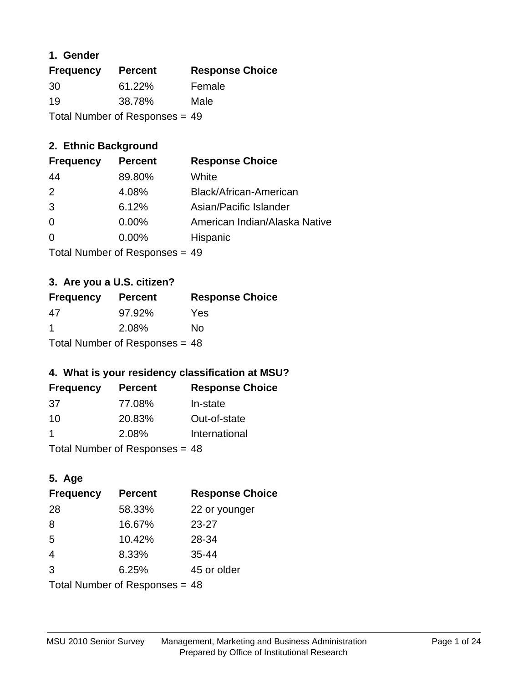## **1. Gender**

| <b>Frequency</b>               | <b>Percent</b> | <b>Response Choice</b> |
|--------------------------------|----------------|------------------------|
| 30                             | $61.22\%$      | Female                 |
| 19                             | 38.78%         | Male                   |
| Total Number of Responses = 49 |                |                        |

## **2. Ethnic Background**

| <b>Frequency</b> | <b>Percent</b> | <b>Response Choice</b>        |
|------------------|----------------|-------------------------------|
| 44               | 89.80%         | White                         |
| $\mathcal{P}$    | 4.08%          | Black/African-American        |
| 3                | 6.12%          | Asian/Pacific Islander        |
| 0                | 0.00%          | American Indian/Alaska Native |
| $\Omega$         | 0.00%          | Hispanic                      |
|                  |                |                               |

Total Number of Responses = 49

## **3. Are you a U.S. citizen?**

| <b>Frequency</b>                 | <b>Percent</b> | <b>Response Choice</b> |
|----------------------------------|----------------|------------------------|
| 47                               | 97.92%         | Yes                    |
| -1                               | 2.08%          | Nο                     |
| Total Number of Responses = $48$ |                |                        |

## **4. What is your residency classification at MSU?**

| <b>Frequency</b> | <b>Percent</b> | <b>Response Choice</b> |
|------------------|----------------|------------------------|
| .37              | 77.08%         | In-state               |
| 10               | 20.83%         | Out-of-state           |
|                  | 2.08%          | International          |
| — <u>.</u>       |                |                        |

Total Number of Responses = 48

## **5. Age**

| <b>Frequency</b>                 | <b>Percent</b> | <b>Response Choice</b> |
|----------------------------------|----------------|------------------------|
| 28                               | 58.33%         | 22 or younger          |
| 8                                | 16.67%         | $23 - 27$              |
| 5                                | 10.42%         | 28-34                  |
| $\overline{4}$                   | 8.33%          | $35 - 44$              |
| 3                                | 6.25%          | 45 or older            |
| Total Number of Responses $= 48$ |                |                        |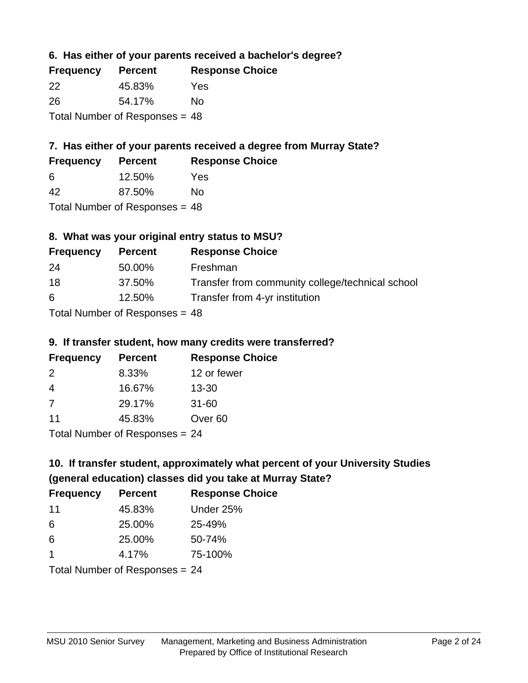## **6. Has either of your parents received a bachelor's degree?**

| <b>Frequency</b>                 | <b>Percent</b> | <b>Response Choice</b> |
|----------------------------------|----------------|------------------------|
| 22                               | 45.83%         | Yes                    |
| -26                              | 54.17%         | No                     |
| Total Number of Responses $= 48$ |                |                        |

## **7. Has either of your parents received a degree from Murray State?**

| <b>Frequency</b> | <b>Percent</b> | <b>Response Choice</b> |
|------------------|----------------|------------------------|
| -6               | 12.50%         | Yes                    |
| 42               | 87.50%         | No                     |

Total Number of Responses = 48

## **8. What was your original entry status to MSU?**

| <b>Frequency</b> | <b>Percent</b>              | <b>Response Choice</b>                           |
|------------------|-----------------------------|--------------------------------------------------|
| 24               | 50.00%                      | Freshman                                         |
| 18               | 37.50%                      | Transfer from community college/technical school |
| 6                | 12.50%                      | Transfer from 4-yr institution                   |
|                  | Total Number of DoEROR 0.40 |                                                  |

# Total Number of Responses = 48

#### **9. If transfer student, how many credits were transferred?**

| <b>Frequency</b>               | <b>Percent</b> | <b>Response Choice</b> |
|--------------------------------|----------------|------------------------|
| 2                              | 8.33%          | 12 or fewer            |
| -4                             | 16.67%         | $13 - 30$              |
| -7                             | 29.17%         | $31 - 60$              |
| 11                             | 45.83%         | Over <sub>60</sub>     |
| $Total Number of Denance = 24$ |                |                        |

I otal Number of Responses = 24

# **10. If transfer student, approximately what percent of your University Studies (general education) classes did you take at Murray State?**

| <b>Frequency</b>               | <b>Percent</b> | <b>Response Choice</b> |
|--------------------------------|----------------|------------------------|
| -11                            | 45.83%         | Under 25%              |
| 6                              | 25.00%         | 25-49%                 |
| 6                              | 25.00%         | 50-74%                 |
| 1                              | 4.17%          | 75-100%                |
| Total Number of Responses = 24 |                |                        |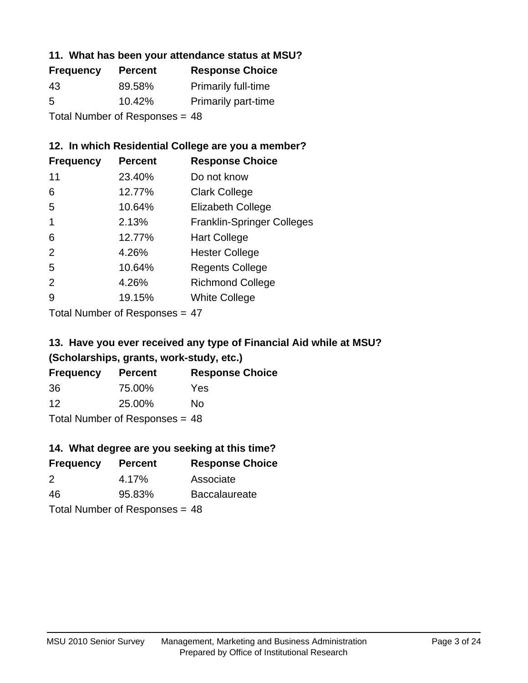#### **11. What has been your attendance status at MSU?**

| <b>Frequency</b>               | <b>Percent</b> | <b>Response Choice</b>     |
|--------------------------------|----------------|----------------------------|
| 43                             | 89.58%         | <b>Primarily full-time</b> |
| 5                              | 10.42%         | <b>Primarily part-time</b> |
| Total Number of Responses = 48 |                |                            |

## **12. In which Residential College are you a member?**

| <b>Percent</b> | <b>Response Choice</b>            |
|----------------|-----------------------------------|
| 23.40%         | Do not know                       |
| 12.77%         | <b>Clark College</b>              |
| 10.64%         | <b>Elizabeth College</b>          |
| 2.13%          | <b>Franklin-Springer Colleges</b> |
| 12.77%         | <b>Hart College</b>               |
| 4.26%          | <b>Hester College</b>             |
| 10.64%         | <b>Regents College</b>            |
| 4.26%          | <b>Richmond College</b>           |
| 19.15%         | <b>White College</b>              |
|                |                                   |

Total Number of Responses = 47

## **13. Have you ever received any type of Financial Aid while at MSU? (Scholarships, grants, work-study, etc.)**

| <b>Frequency</b> | <b>Percent</b>                   | <b>Response Choice</b> |
|------------------|----------------------------------|------------------------|
| 36               | 75.00%                           | Yes                    |
| 12               | 25.00%                           | Nο                     |
|                  | Total Number of Responses = $48$ |                        |

#### **14. What degree are you seeking at this time?**

| <b>Frequency</b> | <b>Percent</b>                   | <b>Response Choice</b> |
|------------------|----------------------------------|------------------------|
| 2                | 4.17%                            | Associate              |
| 46               | 95.83%                           | <b>Baccalaureate</b>   |
|                  | Total Number of Responses = $48$ |                        |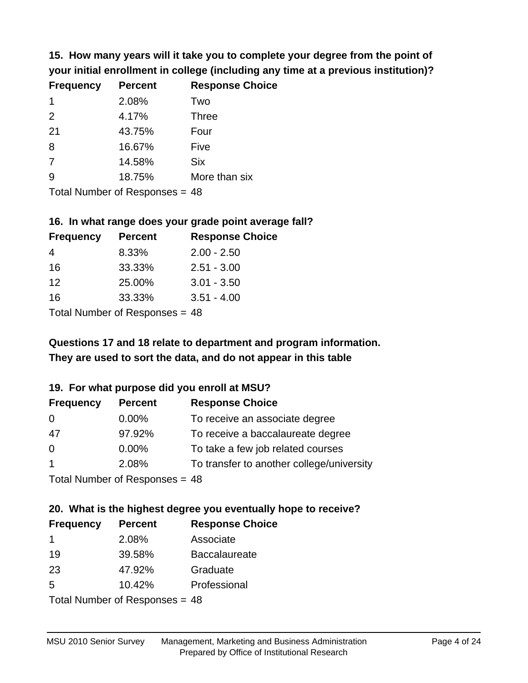**15. How many years will it take you to complete your degree from the point of your initial enrollment in college (including any time at a previous institution)?**

| <b>Frequency</b> | <b>Percent</b> | <b>Response Choice</b> |
|------------------|----------------|------------------------|
| $\mathbf 1$      | 2.08%          | Two                    |
| 2                | 4.17%          | <b>Three</b>           |
| 21               | 43.75%         | Four                   |
| 8                | 16.67%         | Five                   |
| 7                | 14.58%         | <b>Six</b>             |
| 9                | 18.75%         | More than six          |
|                  |                |                        |

Total Number of Responses = 48

#### **16. In what range does your grade point average fall?**

| <b>Frequency</b> | <b>Percent</b> | <b>Response Choice</b> |
|------------------|----------------|------------------------|
| 4                | 8.33%          | $2.00 - 2.50$          |
| 16               | 33.33%         | $2.51 - 3.00$          |
| 12               | 25.00%         | $3.01 - 3.50$          |
| 16               | 33.33%         | $3.51 - 4.00$          |
|                  |                |                        |

Total Number of Responses = 48

## **They are used to sort the data, and do not appear in this table Questions 17 and 18 relate to department and program information.**

#### **19. For what purpose did you enroll at MSU?**

| <b>Frequency</b> | <b>Percent</b>                  | <b>Response Choice</b>                    |
|------------------|---------------------------------|-------------------------------------------|
| $\overline{0}$   | $0.00\%$                        | To receive an associate degree            |
| 47               | 97.92%                          | To receive a baccalaureate degree         |
| $\overline{0}$   | $0.00\%$                        | To take a few job related courses         |
| $\overline{1}$   | 2.08%                           | To transfer to another college/university |
|                  | $Total Number of DoEROROR = 49$ |                                           |

Total Number of Responses = 48

# **20. What is the highest degree you eventually hope to receive?**

| <b>Frequency</b> | <b>Percent</b>                  | <b>Response Choice</b> |
|------------------|---------------------------------|------------------------|
| -1               | 2.08%                           | Associate              |
| 19               | 39.58%                          | <b>Baccalaureate</b>   |
| 23               | 47.92%                          | Graduate               |
| 5                | 10.42%                          | Professional           |
|                  | $Total Number of Denonose = 49$ |                        |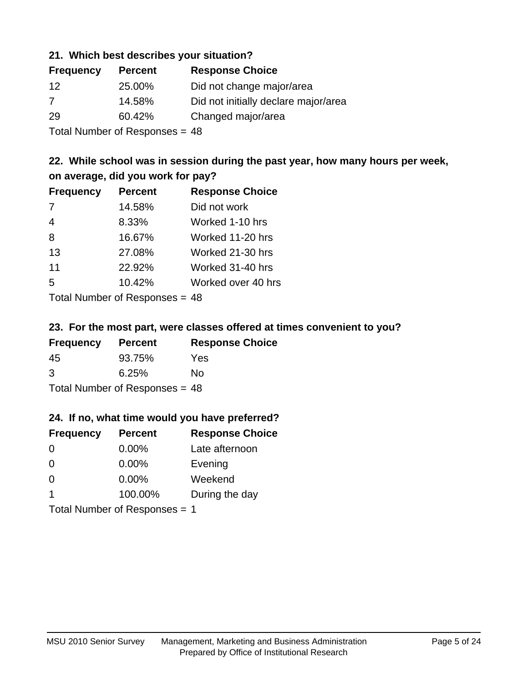#### **21. Which best describes your situation?**

| <b>Frequency</b> | <b>Percent</b>            | <b>Response Choice</b>               |
|------------------|---------------------------|--------------------------------------|
| -12              | 25.00%                    | Did not change major/area            |
| 7                | 14.58%                    | Did not initially declare major/area |
| 29               | 60.42%                    | Changed major/area                   |
|                  | The HILL of December 1999 |                                      |

Total Number of Responses = 48

## **22. While school was in session during the past year, how many hours per week, on average, did you work for pay?**

| <b>Frequency</b> | <b>Percent</b> | <b>Response Choice</b> |
|------------------|----------------|------------------------|
| 7                | 14.58%         | Did not work           |
| $\overline{4}$   | 8.33%          | Worked 1-10 hrs        |
| 8                | 16.67%         | Worked 11-20 hrs       |
| 13               | 27.08%         | Worked 21-30 hrs       |
| 11               | 22.92%         | Worked 31-40 hrs       |
| 5                | 10.42%         | Worked over 40 hrs     |
|                  |                |                        |

Total Number of Responses = 48

#### **23. For the most part, were classes offered at times convenient to you?**

| <b>Frequency</b>                 | <b>Percent</b> | <b>Response Choice</b> |
|----------------------------------|----------------|------------------------|
| 45                               | 93.75%         | Yes                    |
| 3                                | 6.25%          | No.                    |
| Total Number of Responses = $48$ |                |                        |

#### **24. If no, what time would you have preferred?**

| <b>Frequency</b>              | <b>Percent</b> | <b>Response Choice</b> |
|-------------------------------|----------------|------------------------|
| $\Omega$                      | $0.00\%$       | Late afternoon         |
| $\Omega$                      | $0.00\%$       | Evening                |
| 0                             | $0.00\%$       | Weekend                |
| $\overline{1}$                | 100.00%        | During the day         |
| Total Number of Responses = 1 |                |                        |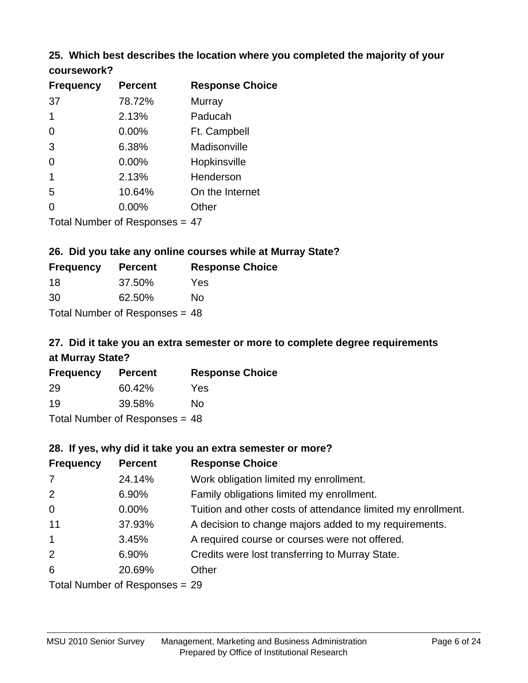# **25. Which best describes the location where you completed the majority of your**

| <b>Frequency</b> | <b>Percent</b>                 | <b>Response Choice</b> |
|------------------|--------------------------------|------------------------|
| 37               | 78.72%                         | Murray                 |
| 1                | 2.13%                          | Paducah                |
| 0                | 0.00%                          | Ft. Campbell           |
| 3                | 6.38%                          | Madisonville           |
| 0                | 0.00%                          | Hopkinsville           |
| $\mathbf{1}$     | 2.13%                          | Henderson              |
| 5                | 10.64%                         | On the Internet        |
| $\Omega$         | $0.00\%$                       | Other                  |
|                  | Total Number of Responses = 47 |                        |

**coursework?**

**26. Did you take any online courses while at Murray State?**

| <b>Frequency</b>                 | <b>Percent</b> | <b>Response Choice</b> |
|----------------------------------|----------------|------------------------|
| 18                               | 37.50%         | Yes                    |
| 30                               | 62.50%         | Nο                     |
| Total Number of Responses = $48$ |                |                        |

# **27. Did it take you an extra semester or more to complete degree requirements at Murray State?**

| <b>Frequency</b>                 | <b>Percent</b> | <b>Response Choice</b> |  |
|----------------------------------|----------------|------------------------|--|
| 29                               | 60.42%         | Yes                    |  |
| 19                               | 39.58%         | No                     |  |
| Total Number of Responses = $48$ |                |                        |  |

**28. If yes, why did it take you an extra semester or more?**

| <b>Frequency</b>               | <b>Percent</b> | <b>Response Choice</b>                                       |  |
|--------------------------------|----------------|--------------------------------------------------------------|--|
| $\overline{7}$                 | 24.14%         | Work obligation limited my enrollment.                       |  |
| 2                              | 6.90%          | Family obligations limited my enrollment.                    |  |
| $\mathbf 0$                    | $0.00\%$       | Tuition and other costs of attendance limited my enrollment. |  |
| 11                             | 37.93%         | A decision to change majors added to my requirements.        |  |
| $\mathbf{1}$                   | 3.45%          | A required course or courses were not offered.               |  |
| 2                              | 6.90%          | Credits were lost transferring to Murray State.              |  |
| 6                              | 20.69%         | Other                                                        |  |
| Total Number of Responses = 29 |                |                                                              |  |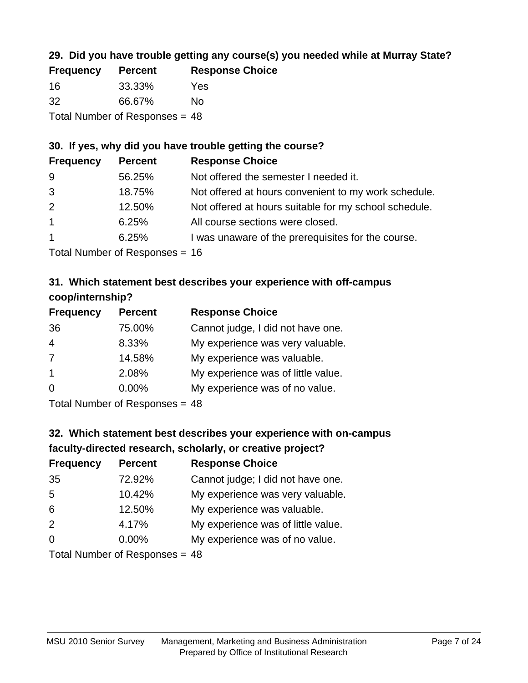## **29. Did you have trouble getting any course(s) you needed while at Murray State?**

| <b>Frequency</b>               | <b>Percent</b> | <b>Response Choice</b> |  |
|--------------------------------|----------------|------------------------|--|
| -16                            | 33.33%         | Yes                    |  |
| -32                            | 66.67%         | Nο                     |  |
| Total Number of Responses = 48 |                |                        |  |

#### **30. If yes, why did you have trouble getting the course?**

| <b>Frequency</b> | <b>Percent</b> | <b>Response Choice</b>                                |
|------------------|----------------|-------------------------------------------------------|
| -9               | 56.25%         | Not offered the semester I needed it.                 |
| 3                | 18.75%         | Not offered at hours convenient to my work schedule.  |
| 2                | 12.50%         | Not offered at hours suitable for my school schedule. |
| $\overline{1}$   | 6.25%          | All course sections were closed.                      |
| $\overline{1}$   | 6.25%          | I was unaware of the prerequisites for the course.    |
|                  |                |                                                       |

Total Number of Responses = 16

## **31. Which statement best describes your experience with off-campus coop/internship?**

| <b>Frequency</b> | <b>Percent</b> | <b>Response Choice</b>             |
|------------------|----------------|------------------------------------|
| 36               | 75.00%         | Cannot judge, I did not have one.  |
| $\overline{4}$   | 8.33%          | My experience was very valuable.   |
| 7                | 14.58%         | My experience was valuable.        |
| $\overline{1}$   | 2.08%          | My experience was of little value. |
| 0                | 0.00%          | My experience was of no value.     |
|                  |                |                                    |

Total Number of Responses = 48

# **32. Which statement best describes your experience with on-campus faculty-directed research, scholarly, or creative project?**

| <b>Frequency</b> | <b>Percent</b>              | <b>Response Choice</b>             |
|------------------|-----------------------------|------------------------------------|
| 35               | 72.92%                      | Cannot judge; I did not have one.  |
| 5                | 10.42%                      | My experience was very valuable.   |
| 6                | 12.50%                      | My experience was valuable.        |
| 2                | 4.17%                       | My experience was of little value. |
| $\Omega$         | 0.00%                       | My experience was of no value.     |
|                  | Tatal Mussakan af Danmarana |                                    |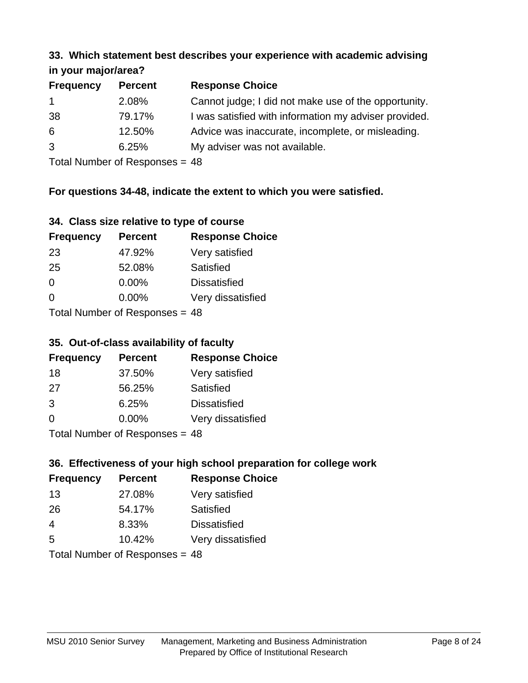#### **33. Which statement best describes your experience with academic advising in your major/area?**

| $\cdots$ your mapping out. |                |                                                       |
|----------------------------|----------------|-------------------------------------------------------|
| <b>Frequency</b>           | <b>Percent</b> | <b>Response Choice</b>                                |
| $\mathbf 1$                | 2.08%          | Cannot judge; I did not make use of the opportunity.  |
| 38                         | 79.17%         | I was satisfied with information my adviser provided. |
| 6                          | 12.50%         | Advice was inaccurate, incomplete, or misleading.     |
| 3                          | 6.25%          | My adviser was not available.                         |
|                            |                |                                                       |

Total Number of Responses = 48

## **For questions 34-48, indicate the extent to which you were satisfied.**

| 34. Class size relative to type of course |  |  |  |  |  |  |  |  |
|-------------------------------------------|--|--|--|--|--|--|--|--|
|-------------------------------------------|--|--|--|--|--|--|--|--|

| <b>Frequency</b>                | <b>Percent</b> | <b>Response Choice</b> |  |
|---------------------------------|----------------|------------------------|--|
| -23                             | 47.92%         | Very satisfied         |  |
| 25                              | 52.08%         | Satisfied              |  |
| $\Omega$                        | $0.00\%$       | <b>Dissatisfied</b>    |  |
| $\Omega$                        | $0.00\%$       | Very dissatisfied      |  |
| Total Number of Responses $-18$ |                |                        |  |

Total Number of Responses = 48

#### **35. Out-of-class availability of faculty**

| <b>Frequency</b>          | <b>Percent</b> | <b>Response Choice</b> |  |
|---------------------------|----------------|------------------------|--|
| 18                        | 37.50%         | Very satisfied         |  |
| 27                        | 56.25%         | Satisfied              |  |
| 3                         | 6.25%          | <b>Dissatisfied</b>    |  |
| $\Omega$                  | 0.00%          | Very dissatisfied      |  |
| Total Number of Desponses |                |                        |  |

Total Number of Responses = 48

## **36. Effectiveness of your high school preparation for college work**

| <b>Frequency</b> | <b>Percent</b>               | <b>Response Choice</b> |
|------------------|------------------------------|------------------------|
| 13               | 27.08%                       | Very satisfied         |
| 26               | 54.17%                       | Satisfied              |
| 4                | 8.33%                        | <b>Dissatisfied</b>    |
| 5                | 10.42%                       | Very dissatisfied      |
|                  | Total Number of Deepensee 40 |                        |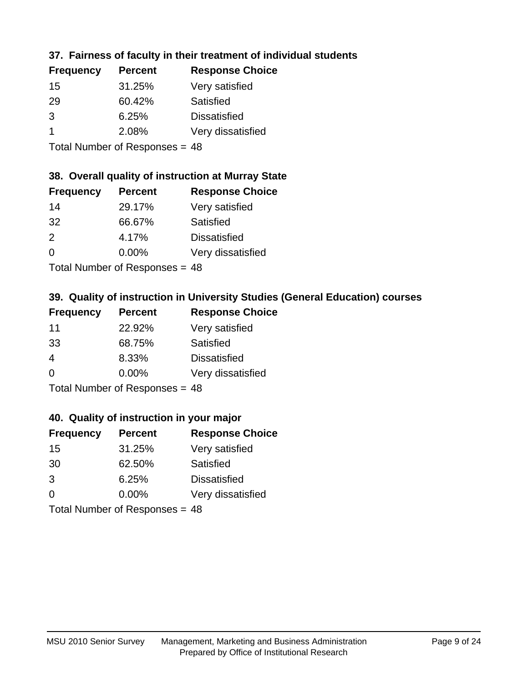## **37. Fairness of faculty in their treatment of individual students**

| <b>Frequency</b> | <b>Percent</b> | <b>Response Choice</b> |
|------------------|----------------|------------------------|
| 15               | 31.25%         | Very satisfied         |
| 29               | 60.42%         | Satisfied              |
| 3                | 6.25%          | <b>Dissatisfied</b>    |
|                  | 2.08%          | Very dissatisfied      |
|                  |                |                        |

Total Number of Responses = 48

## **38. Overall quality of instruction at Murray State**

| <b>Frequency</b> | <b>Percent</b>             | <b>Response Choice</b> |
|------------------|----------------------------|------------------------|
| 14               | 29.17%                     | Very satisfied         |
| 32               | 66.67%                     | Satisfied              |
| $\mathcal{P}$    | 4.17%                      | <b>Dissatisfied</b>    |
| $\Omega$         | 0.00%                      | Very dissatisfied      |
|                  | Tatal Number of Desperance |                        |

Total Number of Responses = 48

# **39. Quality of instruction in University Studies (General Education) courses**

| <b>Frequency</b> | <b>Percent</b>               | <b>Response Choice</b> |
|------------------|------------------------------|------------------------|
| 11               | 22.92%                       | Very satisfied         |
| 33               | 68.75%                       | Satisfied              |
| 4                | 8.33%                        | <b>Dissatisfied</b>    |
| $\Omega$         | 0.00%                        | Very dissatisfied      |
|                  | Total Number of Deepensee 40 |                        |

Total Number of Responses = 48

#### **40. Quality of instruction in your major**

| <b>Frequency</b>               | <b>Percent</b> | <b>Response Choice</b> |
|--------------------------------|----------------|------------------------|
| 15                             | 31.25%         | Very satisfied         |
| 30                             | 62.50%         | Satisfied              |
| 3                              | 6.25%          | <b>Dissatisfied</b>    |
| $\Omega$                       | $0.00\%$       | Very dissatisfied      |
| Total Number of Responses = 48 |                |                        |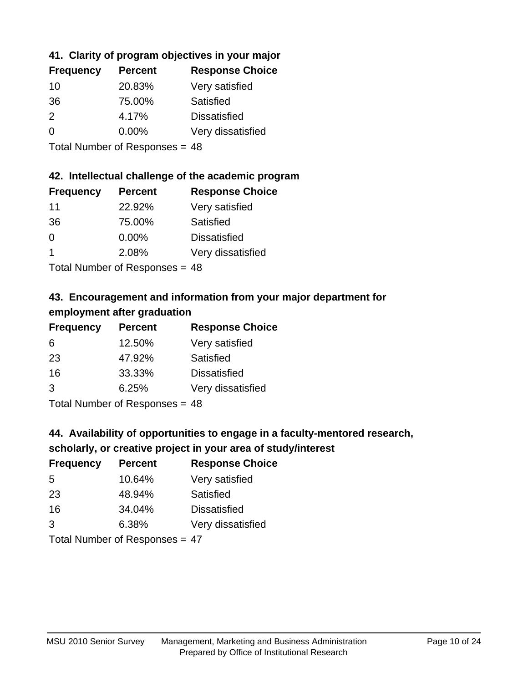## **41. Clarity of program objectives in your major**

| <b>Frequency</b> | <b>Percent</b> | <b>Response Choice</b> |
|------------------|----------------|------------------------|
| 10               | 20.83%         | Very satisfied         |
| 36               | 75.00%         | Satisfied              |
| $\mathcal{P}$    | 4.17%          | <b>Dissatisfied</b>    |
| $\Omega$         | $0.00\%$       | Very dissatisfied      |
|                  |                |                        |

Total Number of Responses = 48

#### **42. Intellectual challenge of the academic program**

| <b>Frequency</b> | <b>Percent</b> | <b>Response Choice</b> |
|------------------|----------------|------------------------|
| 11               | 22.92%         | Very satisfied         |
| 36               | 75.00%         | Satisfied              |
| $\Omega$         | 0.00%          | <b>Dissatisfied</b>    |
|                  | 2.08%          | Very dissatisfied      |
|                  |                |                        |

Total Number of Responses = 48

## **43. Encouragement and information from your major department for employment after graduation**

| <b>Frequency</b> | <b>Percent</b> | <b>Response Choice</b> |
|------------------|----------------|------------------------|
| 6                | 12.50%         | Very satisfied         |
| 23               | 47.92%         | Satisfied              |
| 16               | 33.33%         | <b>Dissatisfied</b>    |
| 3                | 6.25%          | Very dissatisfied      |
|                  |                |                        |

Total Number of Responses = 48

## **44. Availability of opportunities to engage in a faculty-mentored research,**

#### **scholarly, or creative project in your area of study/interest**

| <b>Frequency</b> | <b>Percent</b> | <b>Response Choice</b> |
|------------------|----------------|------------------------|
| 5                | 10.64%         | Very satisfied         |
| 23               | 48.94%         | Satisfied              |
| 16               | 34.04%         | <b>Dissatisfied</b>    |
| 3                | 6.38%          | Very dissatisfied      |
|                  |                |                        |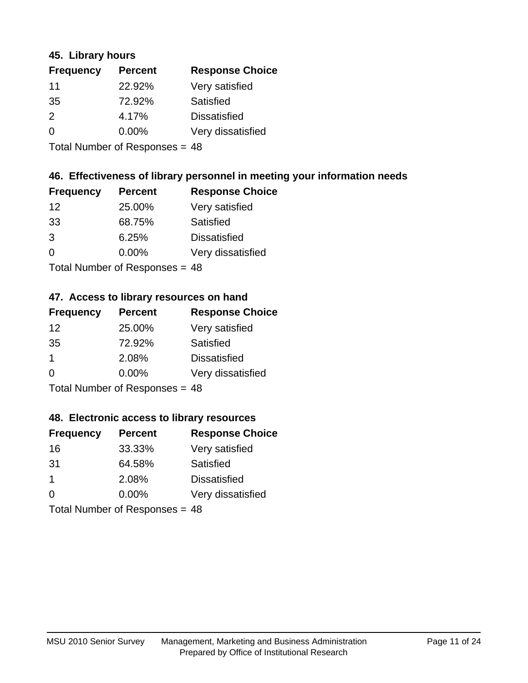#### **45. Library hours**

| <b>Frequency</b> | <b>Percent</b> | <b>Response Choice</b> |
|------------------|----------------|------------------------|
| 11               | 22.92%         | Very satisfied         |
| 35               | 72.92%         | Satisfied              |
| 2                | 4.17%          | <b>Dissatisfied</b>    |
| $\Omega$         | 0.00%          | Very dissatisfied      |
|                  |                |                        |

Total Number of Responses = 48

## **46. Effectiveness of library personnel in meeting your information needs**

| <b>Frequency</b> | <b>Percent</b> | <b>Response Choice</b> |
|------------------|----------------|------------------------|
| 12               | 25.00%         | Very satisfied         |
| 33               | 68.75%         | Satisfied              |
| 3                | 6.25%          | <b>Dissatisfied</b>    |
| $\Omega$         | 0.00%          | Very dissatisfied      |
|                  |                |                        |

Total Number of Responses = 48

#### **47. Access to library resources on hand**

| <b>Frequency</b> | <b>Percent</b>                   | <b>Response Choice</b> |
|------------------|----------------------------------|------------------------|
| 12               | 25.00%                           | Very satisfied         |
| 35               | 72.92%                           | Satisfied              |
| -1               | 2.08%                            | <b>Dissatisfied</b>    |
| $\Omega$         | $0.00\%$                         | Very dissatisfied      |
|                  | $Total Number of Doepopoog = 10$ |                        |

Total Number of Responses = 48

#### **48. Electronic access to library resources**

| <b>Frequency</b>               | <b>Percent</b> | <b>Response Choice</b> |
|--------------------------------|----------------|------------------------|
| 16                             | 33.33%         | Very satisfied         |
| 31                             | 64.58%         | Satisfied              |
| $\overline{1}$                 | 2.08%          | <b>Dissatisfied</b>    |
| $\Omega$                       | $0.00\%$       | Very dissatisfied      |
| Total Number of Responses = 48 |                |                        |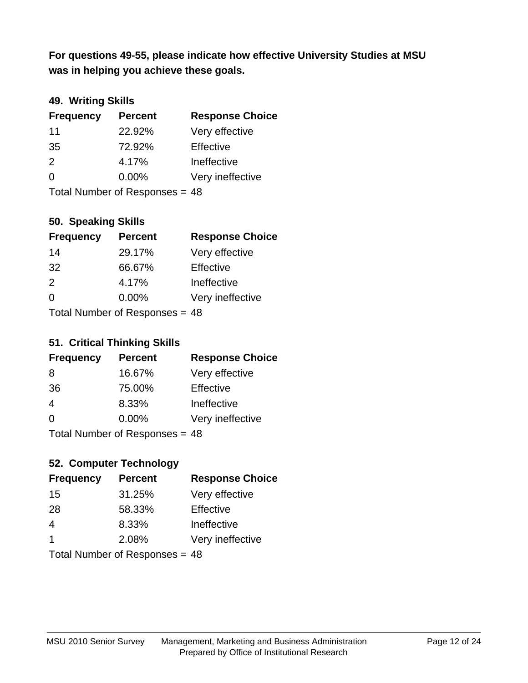**was in helping you achieve these goals. For questions 49-55, please indicate how effective University Studies at MSU** 

## **49. Writing Skills**

| <b>Frequency</b>               | <b>Percent</b> | <b>Response Choice</b> |
|--------------------------------|----------------|------------------------|
| 11                             | 22.92%         | Very effective         |
| 35                             | 72.92%         | Effective              |
| 2                              | 4.17%          | Ineffective            |
| $\Omega$                       | $0.00\%$       | Very ineffective       |
| Total Number of Responses = 48 |                |                        |

## **50. Speaking Skills**

| <b>Frequency</b> | <b>Percent</b>                 | <b>Response Choice</b> |
|------------------|--------------------------------|------------------------|
| 14               | 29.17%                         | Very effective         |
| 32               | 66.67%                         | Effective              |
| $\mathcal{P}$    | 4.17%                          | Ineffective            |
| $\Omega$         | 0.00%                          | Very ineffective       |
|                  | Total Number of Responses = 48 |                        |

#### **51. Critical Thinking Skills**

| <b>Frequency</b> | <b>Percent</b>                  | <b>Response Choice</b> |
|------------------|---------------------------------|------------------------|
| 8                | 16.67%                          | Very effective         |
| 36               | 75.00%                          | Effective              |
| $\overline{4}$   | 8.33%                           | Ineffective            |
| $\Omega$         | 0.00%                           | Very ineffective       |
|                  | $Total Number of Denonose = 49$ |                        |

Total Number of Responses = 48

## **52. Computer Technology**

| <b>Frequency</b> | <b>Percent</b>                   | <b>Response Choice</b> |
|------------------|----------------------------------|------------------------|
| 15               | 31.25%                           | Very effective         |
| 28               | 58.33%                           | Effective              |
| 4                | 8.33%                            | Ineffective            |
| -1               | 2.08%                            | Very ineffective       |
|                  | Total Number of Responses $-$ 48 |                        |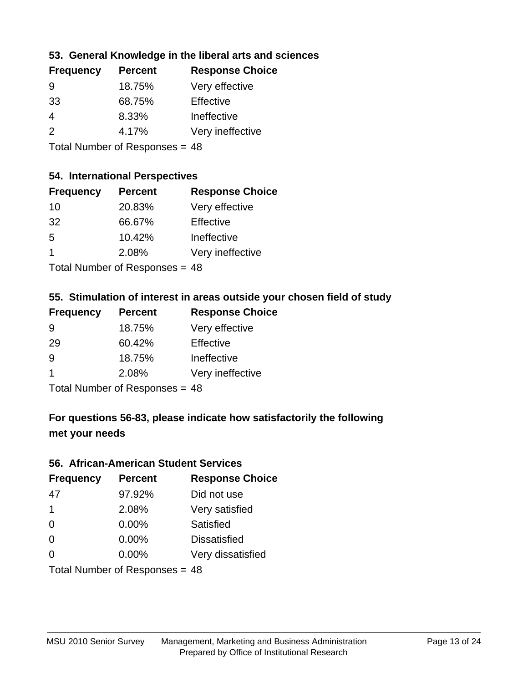## **53. General Knowledge in the liberal arts and sciences**

| <b>Frequency</b> | <b>Percent</b> | <b>Response Choice</b> |
|------------------|----------------|------------------------|
| 9                | 18.75%         | Very effective         |
| 33               | 68.75%         | Effective              |
| 4                | 8.33%          | Ineffective            |
| $\mathcal{P}$    | 4.17%          | Very ineffective       |
|                  |                |                        |

Total Number of Responses = 48

#### **54. International Perspectives**

| <b>Frequency</b> | <b>Percent</b>             | <b>Response Choice</b> |
|------------------|----------------------------|------------------------|
| 10               | 20.83%                     | Very effective         |
| 32               | 66.67%                     | Effective              |
| 5                | 10.42%                     | Ineffective            |
| 1                | 2.08%                      | Very ineffective       |
|                  | Total Number of Desperance |                        |

Total Number of Responses = 48

#### **55. Stimulation of interest in areas outside your chosen field of study**

| <b>Frequency</b> | <b>Percent</b>                 | <b>Response Choice</b> |
|------------------|--------------------------------|------------------------|
| 9                | 18.75%                         | Very effective         |
| 29               | 60.42%                         | Effective              |
| 9                | 18.75%                         | Ineffective            |
| -1               | 2.08%                          | Very ineffective       |
|                  | Total Number of Responses = 48 |                        |

## **For questions 56-83, please indicate how satisfactorily the following met your needs**

#### **56. African-American Student Services**

| <b>Frequency</b>               | <b>Percent</b> | <b>Response Choice</b> |
|--------------------------------|----------------|------------------------|
| 47                             | 97.92%         | Did not use            |
| $\mathbf 1$                    | 2.08%          | Very satisfied         |
| 0                              | 0.00%          | Satisfied              |
| 0                              | $0.00\%$       | <b>Dissatisfied</b>    |
| $\Omega$                       | 0.00%          | Very dissatisfied      |
| Total Number of Responses = 48 |                |                        |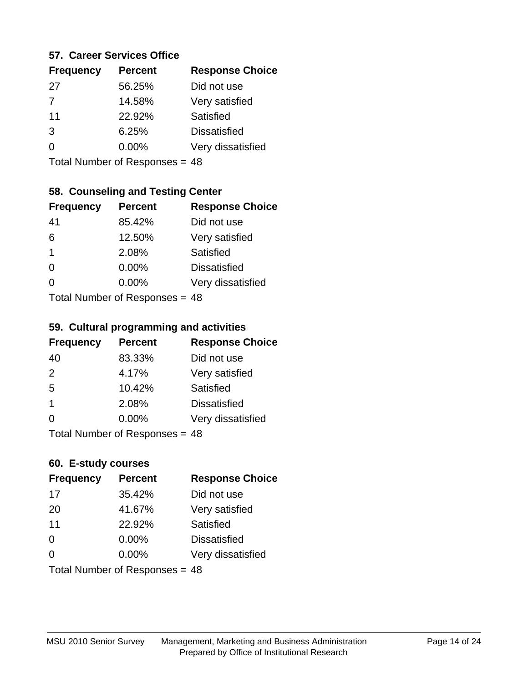#### **57. Career Services Office**

| <b>Frequency</b> | <b>Percent</b> | <b>Response Choice</b> |
|------------------|----------------|------------------------|
| 27               | 56.25%         | Did not use            |
| $\overline{7}$   | 14.58%         | Very satisfied         |
| 11               | 22.92%         | <b>Satisfied</b>       |
| 3                | 6.25%          | <b>Dissatisfied</b>    |
|                  | $0.00\%$       | Very dissatisfied      |
|                  |                |                        |

Total Number of Responses = 48

## **58. Counseling and Testing Center**

| <b>Frequency</b> | <b>Percent</b>            | <b>Response Choice</b> |
|------------------|---------------------------|------------------------|
| 41               | 85.42%                    | Did not use            |
| 6                | 12.50%                    | Very satisfied         |
| 1                | 2.08%                     | <b>Satisfied</b>       |
| 0                | 0.00%                     | <b>Dissatisfied</b>    |
| 0                | 0.00%                     | Very dissatisfied      |
|                  | Total Number of Desponses |                        |

Total Number of Responses = 48

#### **59. Cultural programming and activities**

| <b>Frequency</b> | <b>Percent</b>                 | <b>Response Choice</b> |
|------------------|--------------------------------|------------------------|
| 40               | 83.33%                         | Did not use            |
| 2                | 4.17%                          | Very satisfied         |
| 5                | 10.42%                         | Satisfied              |
| -1               | 2.08%                          | <b>Dissatisfied</b>    |
| $\Omega$         | $0.00\%$                       | Very dissatisfied      |
|                  | Total Number of Responses = 48 |                        |

#### **60. E-study courses**

| <b>Frequency</b> | <b>Percent</b>                 | <b>Response Choice</b> |
|------------------|--------------------------------|------------------------|
| 17               | 35.42%                         | Did not use            |
| 20               | 41.67%                         | Very satisfied         |
| 11               | 22.92%                         | Satisfied              |
| 0                | $0.00\%$                       | <b>Dissatisfied</b>    |
| $\Omega$         | 0.00%                          | Very dissatisfied      |
|                  | Total Number of Responses = 48 |                        |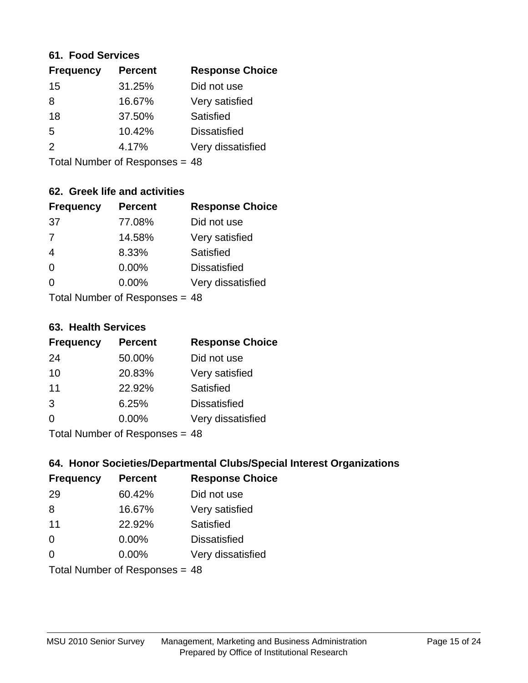#### **61. Food Services**

| <b>Percent</b> | <b>Response Choice</b> |
|----------------|------------------------|
| 31.25%         | Did not use            |
| 16.67%         | Very satisfied         |
| 37.50%         | Satisfied              |
| 10.42%         | <b>Dissatisfied</b>    |
| 4.17%          | Very dissatisfied      |
|                |                        |

Total Number of Responses = 48

## **62. Greek life and activities**

| <b>Frequency</b>               | <b>Percent</b> | <b>Response Choice</b> |
|--------------------------------|----------------|------------------------|
| 37                             | 77.08%         | Did not use            |
| $\overline{7}$                 | 14.58%         | Very satisfied         |
| $\overline{4}$                 | 8.33%          | <b>Satisfied</b>       |
| $\Omega$                       | 0.00%          | <b>Dissatisfied</b>    |
| 0                              | $0.00\%$       | Very dissatisfied      |
| Total Number of Responses = 48 |                |                        |

**63. Health Services**

| <b>Frequency</b> | <b>Percent</b>             | <b>Response Choice</b> |
|------------------|----------------------------|------------------------|
| 24               | 50.00%                     | Did not use            |
| 10               | 20.83%                     | Very satisfied         |
| 11               | 22.92%                     | <b>Satisfied</b>       |
| 3                | 6.25%                      | <b>Dissatisfied</b>    |
| $\Omega$         | 0.00%                      | Very dissatisfied      |
|                  | Total Number of Deepersoon |                        |

Total Number of Responses = 48

## **64. Honor Societies/Departmental Clubs/Special Interest Organizations**

| <b>Frequency</b>               | <b>Percent</b> | <b>Response Choice</b> |
|--------------------------------|----------------|------------------------|
| 29                             | 60.42%         | Did not use            |
| 8                              | 16.67%         | Very satisfied         |
| 11                             | 22.92%         | Satisfied              |
| $\Omega$                       | 0.00%          | <b>Dissatisfied</b>    |
| $\Omega$                       | 0.00%          | Very dissatisfied      |
| Total Number of Responses = 48 |                |                        |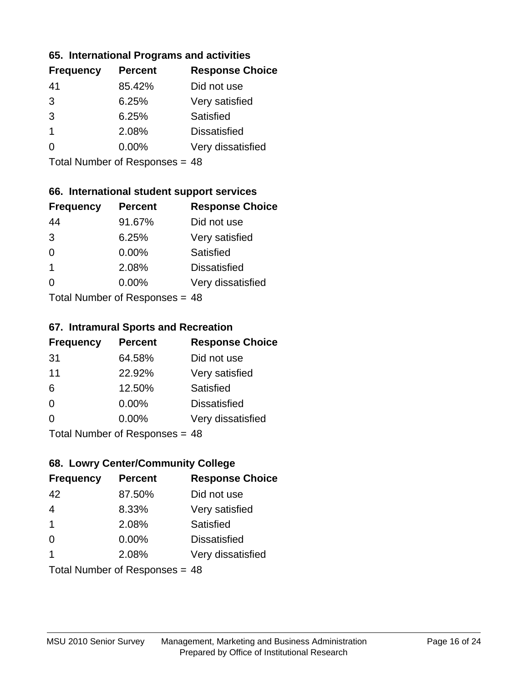#### **65. International Programs and activities**

| <b>Percent</b> | <b>Response Choice</b> |
|----------------|------------------------|
| 85.42%         | Did not use            |
| 6.25%          | Very satisfied         |
| 6.25%          | Satisfied              |
| 2.08%          | <b>Dissatisfied</b>    |
| $0.00\%$       | Very dissatisfied      |
|                |                        |

Total Number of Responses = 48

## **66. International student support services**

| <b>Frequency</b>           | <b>Percent</b> | <b>Response Choice</b> |
|----------------------------|----------------|------------------------|
| 44                         | 91.67%         | Did not use            |
| 3                          | 6.25%          | Very satisfied         |
| $\Omega$                   | 0.00%          | <b>Satisfied</b>       |
| $\overline{1}$             | 2.08%          | <b>Dissatisfied</b>    |
| ∩                          | 0.00%          | Very dissatisfied      |
| Total Number of Deepersoon |                |                        |

Total Number of Responses = 48

#### **67. Intramural Sports and Recreation**

| <b>Frequency</b> | <b>Percent</b>            | <b>Response Choice</b> |
|------------------|---------------------------|------------------------|
| 31               | 64.58%                    | Did not use            |
| 11               | 22.92%                    | Very satisfied         |
| 6                | 12.50%                    | Satisfied              |
| $\Omega$         | $0.00\%$                  | <b>Dissatisfied</b>    |
| $\Omega$         | $0.00\%$                  | Very dissatisfied      |
|                  | Total Number of DoEROR 0. |                        |

I otal Number of Responses = 48

## **68. Lowry Center/Community College**

| <b>Frequency</b>               | <b>Percent</b> | <b>Response Choice</b> |
|--------------------------------|----------------|------------------------|
| 42                             | 87.50%         | Did not use            |
| $\overline{4}$                 | 8.33%          | Very satisfied         |
| $\overline{1}$                 | 2.08%          | Satisfied              |
| $\Omega$                       | 0.00%          | <b>Dissatisfied</b>    |
|                                | 2.08%          | Very dissatisfied      |
| Total Number of Responses = 48 |                |                        |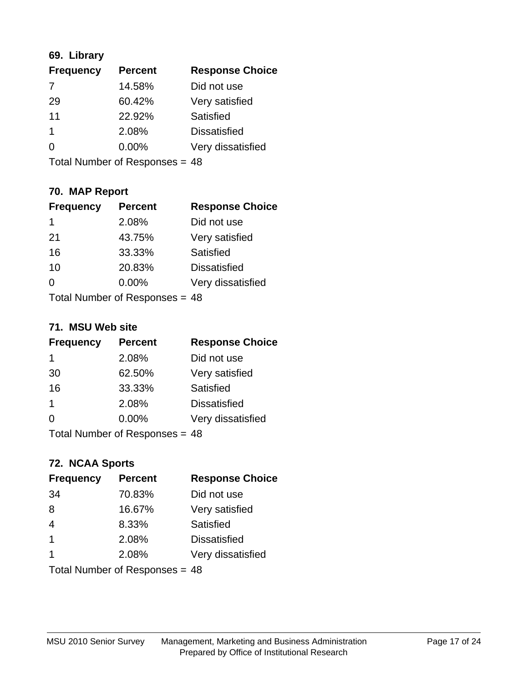## **69. Library**

| <b>Frequency</b> | <b>Percent</b> | <b>Response Choice</b> |
|------------------|----------------|------------------------|
| 7                | 14.58%         | Did not use            |
| 29               | 60.42%         | Very satisfied         |
| 11               | 22.92%         | <b>Satisfied</b>       |
| 1                | 2.08%          | <b>Dissatisfied</b>    |
| 0                | 0.00%          | Very dissatisfied      |
|                  |                |                        |

Total Number of Responses = 48

## **70. MAP Report**

| <b>Frequency</b>               | <b>Percent</b> | <b>Response Choice</b> |
|--------------------------------|----------------|------------------------|
| 1                              | 2.08%          | Did not use            |
| 21                             | 43.75%         | Very satisfied         |
| 16                             | 33.33%         | Satisfied              |
| 10                             | 20.83%         | <b>Dissatisfied</b>    |
| 0                              | $0.00\%$       | Very dissatisfied      |
| Total Number of Responses = 48 |                |                        |

#### **71. MSU Web site**

| <b>Frequency</b>                 | <b>Percent</b> | <b>Response Choice</b> |
|----------------------------------|----------------|------------------------|
| 1                                | 2.08%          | Did not use            |
| 30                               | 62.50%         | Very satisfied         |
| 16                               | 33.33%         | Satisfied              |
| 1                                | 2.08%          | <b>Dissatisfied</b>    |
| ∩                                | $0.00\%$       | Very dissatisfied      |
| Total Number of Responses $= 48$ |                |                        |

## **72. NCAA Sports**

| <b>Frequency</b>               | <b>Percent</b> | <b>Response Choice</b> |
|--------------------------------|----------------|------------------------|
| 34                             | 70.83%         | Did not use            |
| 8                              | 16.67%         | Very satisfied         |
| $\overline{4}$                 | 8.33%          | Satisfied              |
| $\mathbf{1}$                   | 2.08%          | <b>Dissatisfied</b>    |
| $\overline{\mathbf{1}}$        | 2.08%          | Very dissatisfied      |
| Total Number of Responses = 48 |                |                        |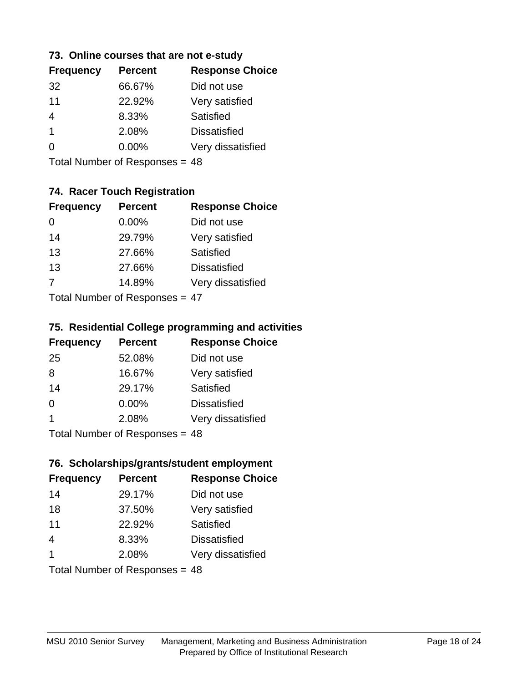#### **73. Online courses that are not e-study**

| <b>Frequency</b> | <b>Percent</b> | <b>Response Choice</b> |
|------------------|----------------|------------------------|
| 32               | 66.67%         | Did not use            |
| 11               | 22.92%         | Very satisfied         |
|                  | 8.33%          | Satisfied              |
| 1                | 2.08%          | <b>Dissatisfied</b>    |
|                  | $0.00\%$       | Very dissatisfied      |
|                  |                |                        |

Total Number of Responses = 48

## **74. Racer Touch Registration**

| <b>Frequency</b> | <b>Percent</b>             | <b>Response Choice</b> |
|------------------|----------------------------|------------------------|
| 0                | $0.00\%$                   | Did not use            |
| 14               | 29.79%                     | Very satisfied         |
| 13               | 27.66%                     | <b>Satisfied</b>       |
| 13               | 27.66%                     | <b>Dissatisfied</b>    |
| $\overline{7}$   | 14.89%                     | Very dissatisfied      |
|                  | Tatal Number of Desperance |                        |

Total Number of Responses = 47

#### **75. Residential College programming and activities**

| <b>Frequency</b> | <b>Percent</b>                 | <b>Response Choice</b> |
|------------------|--------------------------------|------------------------|
| 25               | 52.08%                         | Did not use            |
| 8                | 16.67%                         | Very satisfied         |
| 14               | 29.17%                         | <b>Satisfied</b>       |
| $\Omega$         | $0.00\%$                       | <b>Dissatisfied</b>    |
| 1                | 2.08%                          | Very dissatisfied      |
|                  | $Total Number of Denance = 18$ |                        |

Total Number of Responses = 48

#### **76. Scholarships/grants/student employment**

| <b>Frequency</b> | <b>Percent</b>                 | <b>Response Choice</b> |
|------------------|--------------------------------|------------------------|
| 14               | 29.17%                         | Did not use            |
| 18               | 37.50%                         | Very satisfied         |
| 11               | 22.92%                         | Satisfied              |
| $\overline{4}$   | 8.33%                          | <b>Dissatisfied</b>    |
| $\overline{1}$   | 2.08%                          | Very dissatisfied      |
|                  | Total Number of Responses = 48 |                        |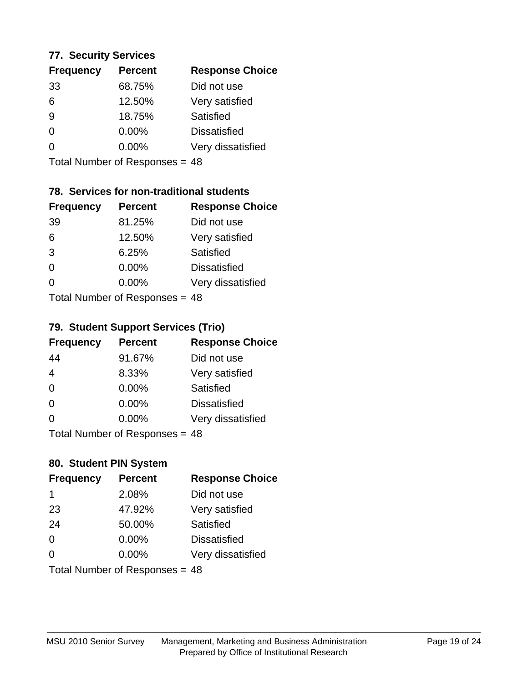#### **77. Security Services**

| <b>Percent</b> | <b>Response Choice</b> |
|----------------|------------------------|
| 68.75%         | Did not use            |
| 12.50%         | Very satisfied         |
| 18.75%         | Satisfied              |
| 0.00%          | <b>Dissatisfied</b>    |
| $0.00\%$       | Very dissatisfied      |
|                |                        |

Total Number of Responses = 48

## **78. Services for non-traditional students**

| <b>Frequency</b> | <b>Percent</b>            | <b>Response Choice</b> |
|------------------|---------------------------|------------------------|
| 39               | 81.25%                    | Did not use            |
| 6                | 12.50%                    | Very satisfied         |
| 3                | 6.25%                     | <b>Satisfied</b>       |
| $\Omega$         | 0.00%                     | <b>Dissatisfied</b>    |
| $\Omega$         | 0.00%                     | Very dissatisfied      |
|                  | Total Number of Desponses |                        |

Total Number of Responses = 48

## **79. Student Support Services (Trio)**

| <b>Frequency</b> | <b>Percent</b>            | <b>Response Choice</b> |
|------------------|---------------------------|------------------------|
| 44               | 91.67%                    | Did not use            |
| 4                | 8.33%                     | Very satisfied         |
| $\Omega$         | $0.00\%$                  | Satisfied              |
| $\Omega$         | $0.00\%$                  | <b>Dissatisfied</b>    |
| $\Omega$         | 0.00%                     | Very dissatisfied      |
|                  | Total Number of DoEROR 0. |                        |

Total Number of Responses = 48

## **80. Student PIN System**

| <b>Frequency</b> | <b>Percent</b>                 | <b>Response Choice</b> |
|------------------|--------------------------------|------------------------|
| 1                | 2.08%                          | Did not use            |
| 23               | 47.92%                         | Very satisfied         |
| 24               | 50.00%                         | Satisfied              |
| $\Omega$         | 0.00%                          | <b>Dissatisfied</b>    |
| $\Omega$         | $0.00\%$                       | Very dissatisfied      |
|                  | Total Number of Responses = 48 |                        |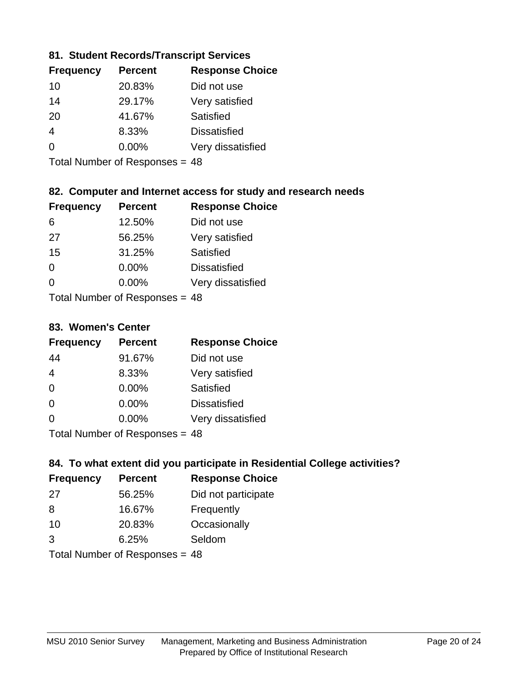## **81. Student Records/Transcript Services**

| <b>Percent</b> | <b>Response Choice</b> |
|----------------|------------------------|
| 20.83%         | Did not use            |
| 29.17%         | Very satisfied         |
| 41.67%         | Satisfied              |
| 8.33%          | <b>Dissatisfied</b>    |
| $0.00\%$       | Very dissatisfied      |
|                |                        |

Total Number of Responses = 48

## **82. Computer and Internet access for study and research needs**

| <b>Frequency</b> | <b>Percent</b>             | <b>Response Choice</b> |
|------------------|----------------------------|------------------------|
| 6                | 12.50%                     | Did not use            |
| 27               | 56.25%                     | Very satisfied         |
| 15               | 31.25%                     | Satisfied              |
| $\Omega$         | 0.00%                      | <b>Dissatisfied</b>    |
| $\Omega$         | $0.00\%$                   | Very dissatisfied      |
|                  | Total Number of Desperance |                        |

Total Number of Responses = 48

#### **83. Women's Center**

| <b>Frequency</b>          | <b>Percent</b> | <b>Response Choice</b> |
|---------------------------|----------------|------------------------|
| 44                        | 91.67%         | Did not use            |
| $\overline{4}$            | 8.33%          | Very satisfied         |
| $\Omega$                  | $0.00\%$       | <b>Satisfied</b>       |
| $\Omega$                  | $0.00\%$       | <b>Dissatisfied</b>    |
| $\Omega$                  | 0.00%          | Very dissatisfied      |
| Total Number of Desponses |                |                        |

Total Number of Responses = 48

## **84. To what extent did you participate in Residential College activities?**

| <b>Frequency</b> | <b>Percent</b>              | <b>Response Choice</b> |
|------------------|-----------------------------|------------------------|
| 27               | 56.25%                      | Did not participate    |
| 8                | 16.67%                      | Frequently             |
| 10               | 20.83%                      | Occasionally           |
| 3                | 6.25%                       | Seldom                 |
|                  | Tatal Massakan af Dagmannar |                        |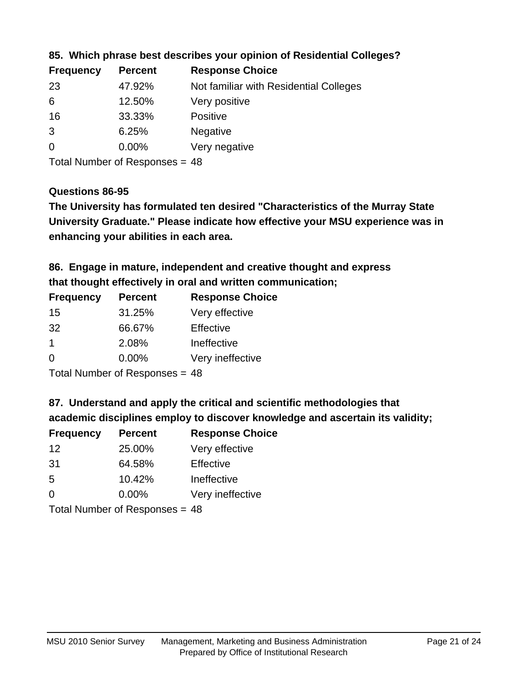| Not familiar with Residential Colleges |
|----------------------------------------|
|                                        |
|                                        |
|                                        |
|                                        |
|                                        |

**85. Which phrase best describes your opinion of Residential Colleges?**

Total Number of Responses = 48

## **Questions 86-95**

**University Graduate." Please indicate how effective your MSU experience was in The University has formulated ten desired "Characteristics of the Murray State enhancing your abilities in each area.**

**86. Engage in mature, independent and creative thought and express that thought effectively in oral and written communication;**

| <b>Frequency</b> | <b>Percent</b> | <b>Response Choice</b> |
|------------------|----------------|------------------------|
| 15               | 31.25%         | Very effective         |
| 32               | 66.67%         | Effective              |
|                  | 2.08%          | Ineffective            |
| $\Omega$         | 0.00%          | Very ineffective       |

Total Number of Responses = 48

**87. Understand and apply the critical and scientific methodologies that** 

**academic disciplines employ to discover knowledge and ascertain its validity;**

| <b>Frequency</b> | <b>Percent</b> | <b>Response Choice</b> |
|------------------|----------------|------------------------|
| 12               | 25.00%         | Very effective         |
| 31               | 64.58%         | Effective              |
| 5                | 10.42%         | Ineffective            |
| $\Omega$         | 0.00%          | Very ineffective       |
|                  |                |                        |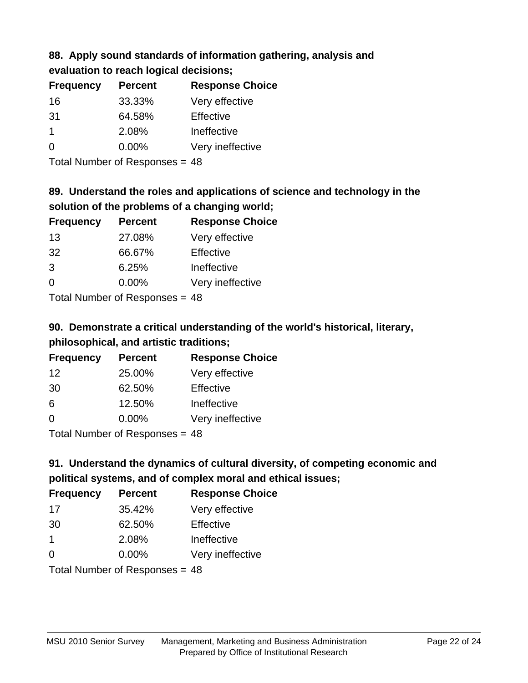# **88. Apply sound standards of information gathering, analysis and**

**evaluation to reach logical decisions;**

| <b>Frequency</b> | <b>Percent</b> | <b>Response Choice</b> |
|------------------|----------------|------------------------|
| 16               | 33.33%         | Very effective         |
| -31              | 64.58%         | Effective              |
| 1                | 2.08%          | Ineffective            |
| $\Omega$         | $0.00\%$       | Very ineffective       |

Total Number of Responses = 48

# **89. Understand the roles and applications of science and technology in the solution of the problems of a changing world;**

| <b>Frequency</b> | <b>Percent</b>                           | <b>Response Choice</b> |
|------------------|------------------------------------------|------------------------|
| 13               | 27.08%                                   | Very effective         |
| 32               | 66.67%                                   | Effective              |
| 3                | 6.25%                                    | Ineffective            |
| $\Omega$         | 0.00%                                    | Very ineffective       |
|                  | $\mathbf{r}$ . The state of $\mathbf{r}$ |                        |

Total Number of Responses = 48

# **90. Demonstrate a critical understanding of the world's historical, literary, philosophical, and artistic traditions;**

| <b>Frequency</b> | <b>Percent</b> | <b>Response Choice</b> |
|------------------|----------------|------------------------|
| 12               | 25.00%         | Very effective         |
| 30               | 62.50%         | Effective              |
| 6                | 12.50%         | Ineffective            |
| ∩                | 0.00%          | Very ineffective       |
|                  |                |                        |

Total Number of Responses = 48

# **91. Understand the dynamics of cultural diversity, of competing economic and political systems, and of complex moral and ethical issues;**

| <b>Frequency</b> | <b>Percent</b>                 | <b>Response Choice</b> |
|------------------|--------------------------------|------------------------|
| 17               | 35.42%                         | Very effective         |
| 30               | 62.50%                         | Effective              |
| $\mathbf 1$      | 2.08%                          | Ineffective            |
| $\Omega$         | 0.00%                          | Very ineffective       |
|                  | Total Number of Responses = 48 |                        |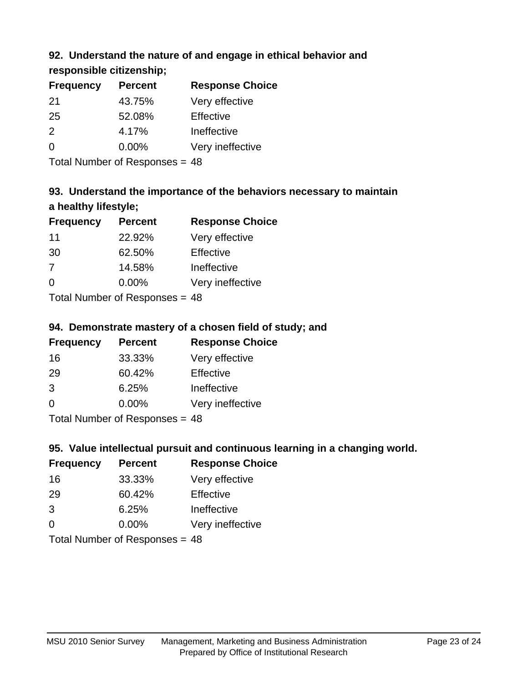## **92. Understand the nature of and engage in ethical behavior and**

**responsible citizenship;**

| <b>Frequency</b> | <b>Percent</b> | <b>Response Choice</b> |
|------------------|----------------|------------------------|
| 21               | 43.75%         | Very effective         |
| 25               | 52.08%         | Effective              |
| $\mathcal{P}$    | 4.17%          | Ineffective            |
| $\Omega$         | $0.00\%$       | Very ineffective       |
|                  |                |                        |

Total Number of Responses = 48

# **93. Understand the importance of the behaviors necessary to maintain a healthy lifestyle;**

| <b>Frequency</b> | <b>Percent</b>                 | <b>Response Choice</b> |
|------------------|--------------------------------|------------------------|
| 11               | 22.92%                         | Very effective         |
| 30               | 62.50%                         | Effective              |
| 7                | 14.58%                         | Ineffective            |
| $\Omega$         | 0.00%                          | Very ineffective       |
|                  | Tatal Manufacture Construction |                        |

Total Number of Responses = 48

## **94. Demonstrate mastery of a chosen field of study; and**

| <b>Frequency</b> | <b>Percent</b> | <b>Response Choice</b> |
|------------------|----------------|------------------------|
| 16               | 33.33%         | Very effective         |
| 29               | 60.42%         | Effective              |
| 3                | 6.25%          | Ineffective            |
| $\Omega$         | 0.00%          | Very ineffective       |
|                  |                |                        |

Total Number of Responses = 48

## **95. Value intellectual pursuit and continuous learning in a changing world.**

| <b>Frequency</b> | <b>Percent</b> | <b>Response Choice</b> |
|------------------|----------------|------------------------|
| 16               | 33.33%         | Very effective         |
| 29               | 60.42%         | Effective              |
| 3                | 6.25%          | Ineffective            |
| ∩                | 0.00%          | Very ineffective       |
|                  |                |                        |